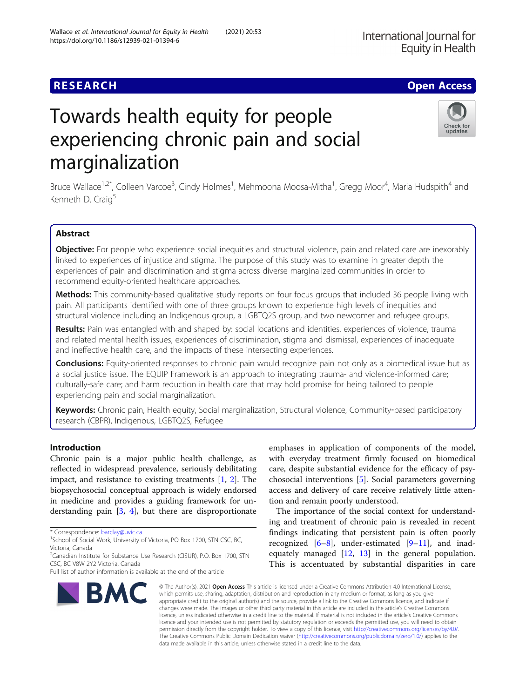# Towards health equity for people experiencing chronic pain and social marginalization

Bruce Wallace<sup>1,2\*</sup>, Colleen Varcoe<sup>3</sup>, Cindy Holmes<sup>1</sup>, Mehmoona Moosa-Mitha<sup>1</sup>, Gregg Moor<sup>4</sup>, Maria Hudspith<sup>4</sup> and

## Abstract

Kenneth D. Craig<sup>5</sup>

Objective: For people who experience social inequities and structural violence, pain and related care are inexorably linked to experiences of injustice and stigma. The purpose of this study was to examine in greater depth the experiences of pain and discrimination and stigma across diverse marginalized communities in order to recommend equity-oriented healthcare approaches.

Methods: This community-based qualitative study reports on four focus groups that included 36 people living with pain. All participants identified with one of three groups known to experience high levels of inequities and structural violence including an Indigenous group, a LGBTQ2S group, and two newcomer and refugee groups.

Results: Pain was entangled with and shaped by: social locations and identities, experiences of violence, trauma and related mental health issues, experiences of discrimination, stigma and dismissal, experiences of inadequate and ineffective health care, and the impacts of these intersecting experiences.

Conclusions: Equity-oriented responses to chronic pain would recognize pain not only as a biomedical issue but as a social justice issue. The EQUIP Framework is an approach to integrating trauma- and violence-informed care; culturally-safe care; and harm reduction in health care that may hold promise for being tailored to people experiencing pain and social marginalization.

Keywords: Chronic pain, Health equity, Social marginalization, Structural violence, Community-based participatory research (CBPR), Indigenous, LGBTQ2S, Refugee

## Introduction

Chronic pain is a major public health challenge, as reflected in widespread prevalence, seriously debilitating impact, and resistance to existing treatments [[1,](#page-11-0) [2](#page-11-0)]. The biopsychosocial conceptual approach is widely endorsed in medicine and provides a guiding framework for understanding pain  $[3, 4]$  $[3, 4]$  $[3, 4]$  $[3, 4]$ , but there are disproportionate

\* Correspondence: [barclay@uvic.ca](mailto:barclay@uvic.ca) <sup>1</sup>

<sup>1</sup>School of Social Work, University of Victoria, PO Box 1700, STN CSC, BC, Victoria, Canada

<sup>2</sup>Canadian Institute for Substance Use Research (CISUR), P.O. Box 1700, STN CSC, BC V8W 2Y2 Victoria, Canada

BMC

emphases in application of components of the model, with everyday treatment firmly focused on biomedical care, despite substantial evidence for the efficacy of psychosocial interventions [[5\]](#page-11-0). Social parameters governing access and delivery of care receive relatively little attention and remain poorly understood.

The importance of the social context for understanding and treatment of chronic pain is revealed in recent findings indicating that persistent pain is often poorly recognized  $[6-8]$  $[6-8]$  $[6-8]$  $[6-8]$  $[6-8]$ , under-estimated  $[9-11]$  $[9-11]$  $[9-11]$ , and inadequately managed [\[12](#page-11-0), [13\]](#page-11-0) in the general population. This is accentuated by substantial disparities in care

© The Author(s), 2021 **Open Access** This article is licensed under a Creative Commons Attribution 4.0 International License, which permits use, sharing, adaptation, distribution and reproduction in any medium or format, as long as you give appropriate credit to the original author(s) and the source, provide a link to the Creative Commons licence, and indicate if changes were made. The images or other third party material in this article are included in the article's Creative Commons licence, unless indicated otherwise in a credit line to the material. If material is not included in the article's Creative Commons licence and your intended use is not permitted by statutory regulation or exceeds the permitted use, you will need to obtain permission directly from the copyright holder. To view a copy of this licence, visit [http://creativecommons.org/licenses/by/4.0/.](http://creativecommons.org/licenses/by/4.0/) The Creative Commons Public Domain Dedication waiver [\(http://creativecommons.org/publicdomain/zero/1.0/](http://creativecommons.org/publicdomain/zero/1.0/)) applies to the data made available in this article, unless otherwise stated in a credit line to the data.

Wallace et al. International Journal for Equity in Health (2021) 20:53





## **RESEARCH CHE Open Access**

Full list of author information is available at the end of the article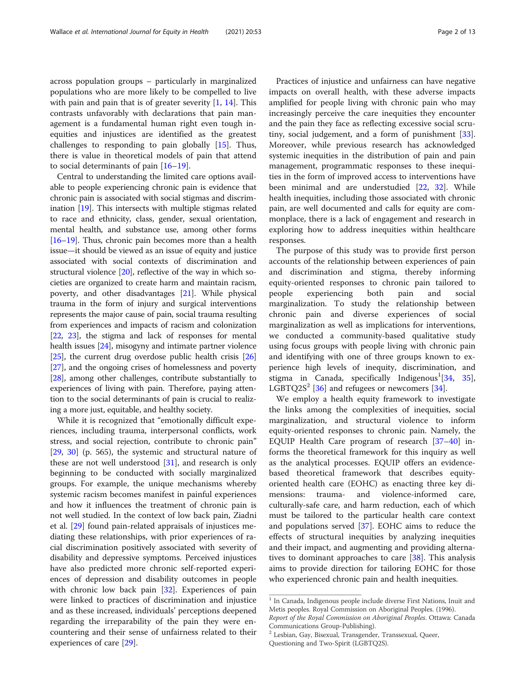across population groups – particularly in marginalized populations who are more likely to be compelled to live with pain and pain that is of greater severity [\[1](#page-11-0), [14](#page-11-0)]. This contrasts unfavorably with declarations that pain management is a fundamental human right even tough inequities and injustices are identified as the greatest challenges to responding to pain globally [[15](#page-11-0)]. Thus, there is value in theoretical models of pain that attend to social determinants of pain [[16](#page-11-0)–[19\]](#page-11-0).

Central to understanding the limited care options available to people experiencing chronic pain is evidence that chronic pain is associated with social stigmas and discrimination [\[19\]](#page-11-0). This intersects with multiple stigmas related to race and ethnicity, class, gender, sexual orientation, mental health, and substance use, among other forms [[16](#page-11-0)–[19\]](#page-11-0). Thus, chronic pain becomes more than a health issue—it should be viewed as an issue of equity and justice associated with social contexts of discrimination and structural violence [\[20](#page-11-0)], reflective of the way in which societies are organized to create harm and maintain racism, poverty, and other disadvantages [\[21\]](#page-11-0). While physical trauma in the form of injury and surgical interventions represents the major cause of pain, social trauma resulting from experiences and impacts of racism and colonization [[22](#page-11-0), [23\]](#page-11-0), the stigma and lack of responses for mental health issues [\[24\]](#page-11-0), misogyny and intimate partner violence [[25](#page-11-0)], the current drug overdose public health crisis [[26](#page-11-0)] [[27](#page-11-0)], and the ongoing crises of homelessness and poverty [[28](#page-11-0)], among other challenges, contribute substantially to experiences of living with pain. Therefore, paying attention to the social determinants of pain is crucial to realizing a more just, equitable, and healthy society.

While it is recognized that "emotionally difficult experiences, including trauma, interpersonal conflicts, work stress, and social rejection, contribute to chronic pain" [[29,](#page-11-0) [30\]](#page-11-0) (p. 565), the systemic and structural nature of these are not well understood [[31\]](#page-11-0), and research is only beginning to be conducted with socially marginalized groups. For example, the unique mechanisms whereby systemic racism becomes manifest in painful experiences and how it influences the treatment of chronic pain is not well studied. In the context of low back pain, Ziadni et al. [\[29\]](#page-11-0) found pain-related appraisals of injustices mediating these relationships, with prior experiences of racial discrimination positively associated with severity of disability and depressive symptoms. Perceived injustices have also predicted more chronic self-reported experiences of depression and disability outcomes in people with chronic low back pain [[32](#page-11-0)]. Experiences of pain were linked to practices of discrimination and injustice and as these increased, individuals' perceptions deepened regarding the irreparability of the pain they were encountering and their sense of unfairness related to their experiences of care [[29\]](#page-11-0).

Practices of injustice and unfairness can have negative impacts on overall health, with these adverse impacts amplified for people living with chronic pain who may increasingly perceive the care inequities they encounter and the pain they face as reflecting excessive social scrutiny, social judgement, and a form of punishment [\[33](#page-11-0)]. Moreover, while previous research has acknowledged systemic inequities in the distribution of pain and pain management, programmatic responses to these inequities in the form of improved access to interventions have been minimal and are understudied [[22,](#page-11-0) [32](#page-11-0)]. While health inequities, including those associated with chronic pain, are well documented and calls for equity are commonplace, there is a lack of engagement and research in exploring how to address inequities within healthcare responses.

The purpose of this study was to provide first person accounts of the relationship between experiences of pain and discrimination and stigma, thereby informing equity-oriented responses to chronic pain tailored to people experiencing both pain and social marginalization. To study the relationship between chronic pain and diverse experiences of social marginalization as well as implications for interventions, we conducted a community-based qualitative study using focus groups with people living with chronic pain and identifying with one of three groups known to experience high levels of inequity, discrimination, and stigma in Canada, specifically Indigenous<sup>1</sup>[[34,](#page-11-0) [35](#page-11-0)], LGBTQ2S<sup>2</sup> [\[36](#page-11-0)] and refugees or newcomers [[34\]](#page-11-0).

We employ a health equity framework to investigate the links among the complexities of inequities, social marginalization, and structural violence to inform equity-oriented responses to chronic pain. Namely, the EQUIP Health Care program of research [[37](#page-11-0)–[40](#page-11-0)] informs the theoretical framework for this inquiry as well as the analytical processes. EQUIP offers an evidencebased theoretical framework that describes equityoriented health care (EOHC) as enacting three key dimensions: trauma- and violence-informed care, culturally-safe care, and harm reduction, each of which must be tailored to the particular health care context and populations served [[37\]](#page-11-0). EOHC aims to reduce the effects of structural inequities by analyzing inequities and their impact, and augmenting and providing alterna-tives to dominant approaches to care [[38\]](#page-11-0). This analysis aims to provide direction for tailoring EOHC for those who experienced chronic pain and health inequities.

 $1$  In Canada, Indigenous people include diverse First Nations, Inuit and Metis peoples. Royal Commission on Aboriginal Peoples. (1996). Report of the Royal Commission on Aboriginal Peoples. Ottawa: Canada

Communications Group-Publishing).

<sup>&</sup>lt;sup>2</sup> Lesbian, Gay, Bisexual, Transgender, Transsexual, Queer,

Questioning and Two-Spirit (LGBTQ2S).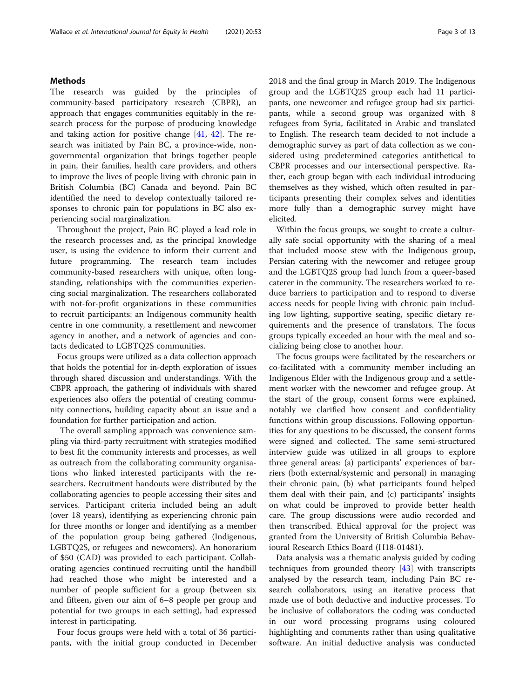## Methods

The research was guided by the principles of community-based participatory research (CBPR), an approach that engages communities equitably in the research process for the purpose of producing knowledge and taking action for positive change [[41](#page-11-0), [42\]](#page-11-0). The research was initiated by Pain BC, a province-wide, nongovernmental organization that brings together people in pain, their families, health care providers, and others to improve the lives of people living with chronic pain in British Columbia (BC) Canada and beyond. Pain BC identified the need to develop contextually tailored responses to chronic pain for populations in BC also experiencing social marginalization.

Throughout the project, Pain BC played a lead role in the research processes and, as the principal knowledge user, is using the evidence to inform their current and future programming. The research team includes community-based researchers with unique, often longstanding, relationships with the communities experiencing social marginalization. The researchers collaborated with not-for-profit organizations in these communities to recruit participants: an Indigenous community health centre in one community, a resettlement and newcomer agency in another, and a network of agencies and contacts dedicated to LGBTQ2S communities.

Focus groups were utilized as a data collection approach that holds the potential for in-depth exploration of issues through shared discussion and understandings. With the CBPR approach, the gathering of individuals with shared experiences also offers the potential of creating community connections, building capacity about an issue and a foundation for further participation and action.

The overall sampling approach was convenience sampling via third-party recruitment with strategies modified to best fit the community interests and processes, as well as outreach from the collaborating community organisations who linked interested participants with the researchers. Recruitment handouts were distributed by the collaborating agencies to people accessing their sites and services. Participant criteria included being an adult (over 18 years), identifying as experiencing chronic pain for three months or longer and identifying as a member of the population group being gathered (Indigenous, LGBTQ2S, or refugees and newcomers). An honorarium of \$50 (CAD) was provided to each participant. Collaborating agencies continued recruiting until the handbill had reached those who might be interested and a number of people sufficient for a group (between six and fifteen, given our aim of 6–8 people per group and potential for two groups in each setting), had expressed interest in participating.

Four focus groups were held with a total of 36 participants, with the initial group conducted in December 2018 and the final group in March 2019. The Indigenous group and the LGBTQ2S group each had 11 participants, one newcomer and refugee group had six participants, while a second group was organized with 8 refugees from Syria, facilitated in Arabic and translated to English. The research team decided to not include a demographic survey as part of data collection as we considered using predetermined categories antithetical to CBPR processes and our intersectional perspective. Rather, each group began with each individual introducing themselves as they wished, which often resulted in participants presenting their complex selves and identities more fully than a demographic survey might have elicited.

Within the focus groups, we sought to create a culturally safe social opportunity with the sharing of a meal that included moose stew with the Indigenous group, Persian catering with the newcomer and refugee group and the LGBTQ2S group had lunch from a queer-based caterer in the community. The researchers worked to reduce barriers to participation and to respond to diverse access needs for people living with chronic pain including low lighting, supportive seating, specific dietary requirements and the presence of translators. The focus groups typically exceeded an hour with the meal and socializing being close to another hour.

The focus groups were facilitated by the researchers or co-facilitated with a community member including an Indigenous Elder with the Indigenous group and a settlement worker with the newcomer and refugee group. At the start of the group, consent forms were explained, notably we clarified how consent and confidentiality functions within group discussions. Following opportunities for any questions to be discussed, the consent forms were signed and collected. The same semi-structured interview guide was utilized in all groups to explore three general areas: (a) participants' experiences of barriers (both external/systemic and personal) in managing their chronic pain, (b) what participants found helped them deal with their pain, and (c) participants' insights on what could be improved to provide better health care. The group discussions were audio recorded and then transcribed. Ethical approval for the project was granted from the University of British Columbia Behavioural Research Ethics Board (H18-01481).

Data analysis was a thematic analysis guided by coding techniques from grounded theory [\[43](#page-12-0)] with transcripts analysed by the research team, including Pain BC research collaborators, using an iterative process that made use of both deductive and inductive processes. To be inclusive of collaborators the coding was conducted in our word processing programs using coloured highlighting and comments rather than using qualitative software. An initial deductive analysis was conducted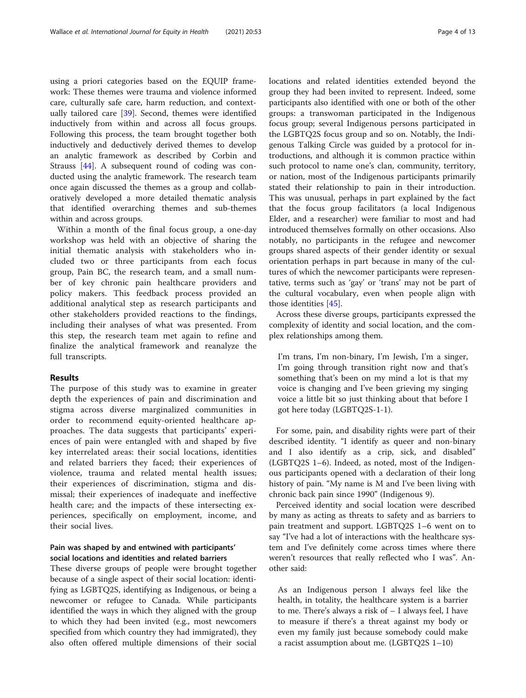using a priori categories based on the EQUIP framework: These themes were trauma and violence informed care, culturally safe care, harm reduction, and contextually tailored care [[39\]](#page-11-0). Second, themes were identified inductively from within and across all focus groups. Following this process, the team brought together both inductively and deductively derived themes to develop an analytic framework as described by Corbin and Strauss [[44\]](#page-12-0). A subsequent round of coding was conducted using the analytic framework. The research team once again discussed the themes as a group and collaboratively developed a more detailed thematic analysis that identified overarching themes and sub-themes within and across groups.

Within a month of the final focus group, a one-day workshop was held with an objective of sharing the initial thematic analysis with stakeholders who included two or three participants from each focus group, Pain BC, the research team, and a small number of key chronic pain healthcare providers and policy makers. This feedback process provided an additional analytical step as research participants and other stakeholders provided reactions to the findings, including their analyses of what was presented. From this step, the research team met again to refine and finalize the analytical framework and reanalyze the full transcripts.

## Results

The purpose of this study was to examine in greater depth the experiences of pain and discrimination and stigma across diverse marginalized communities in order to recommend equity-oriented healthcare approaches. The data suggests that participants' experiences of pain were entangled with and shaped by five key interrelated areas: their social locations, identities and related barriers they faced; their experiences of violence, trauma and related mental health issues; their experiences of discrimination, stigma and dismissal; their experiences of inadequate and ineffective health care; and the impacts of these intersecting experiences, specifically on employment, income, and their social lives.

## Pain was shaped by and entwined with participants' social locations and identities and related barriers

These diverse groups of people were brought together because of a single aspect of their social location: identifying as LGBTQ2S, identifying as Indigenous, or being a newcomer or refugee to Canada. While participants identified the ways in which they aligned with the group to which they had been invited (e.g., most newcomers specified from which country they had immigrated), they also often offered multiple dimensions of their social locations and related identities extended beyond the group they had been invited to represent. Indeed, some participants also identified with one or both of the other groups: a transwoman participated in the Indigenous focus group; several Indigenous persons participated in the LGBTQ2S focus group and so on. Notably, the Indigenous Talking Circle was guided by a protocol for introductions, and although it is common practice within such protocol to name one's clan, community, territory, or nation, most of the Indigenous participants primarily stated their relationship to pain in their introduction. This was unusual, perhaps in part explained by the fact that the focus group facilitators (a local Indigenous Elder, and a researcher) were familiar to most and had introduced themselves formally on other occasions. Also notably, no participants in the refugee and newcomer groups shared aspects of their gender identity or sexual orientation perhaps in part because in many of the cultures of which the newcomer participants were representative, terms such as 'gay' or 'trans' may not be part of the cultural vocabulary, even when people align with those identities [[45\]](#page-12-0).

Across these diverse groups, participants expressed the complexity of identity and social location, and the complex relationships among them.

I'm trans, I'm non-binary, I'm Jewish, I'm a singer, I'm going through transition right now and that's something that's been on my mind a lot is that my voice is changing and I've been grieving my singing voice a little bit so just thinking about that before I got here today (LGBTQ2S-1-1).

For some, pain, and disability rights were part of their described identity. "I identify as queer and non-binary and I also identify as a crip, sick, and disabled" (LGBTQ2S 1–6). Indeed, as noted, most of the Indigenous participants opened with a declaration of their long history of pain. "My name is M and I've been living with chronic back pain since 1990" (Indigenous 9).

Perceived identity and social location were described by many as acting as threats to safety and as barriers to pain treatment and support. LGBTQ2S 1–6 went on to say "I've had a lot of interactions with the healthcare system and I've definitely come across times where there weren't resources that really reflected who I was". Another said:

As an Indigenous person I always feel like the health, in totality, the healthcare system is a barrier to me. There's always a risk of – I always feel, I have to measure if there's a threat against my body or even my family just because somebody could make a racist assumption about me. (LGBTQ2S 1–10)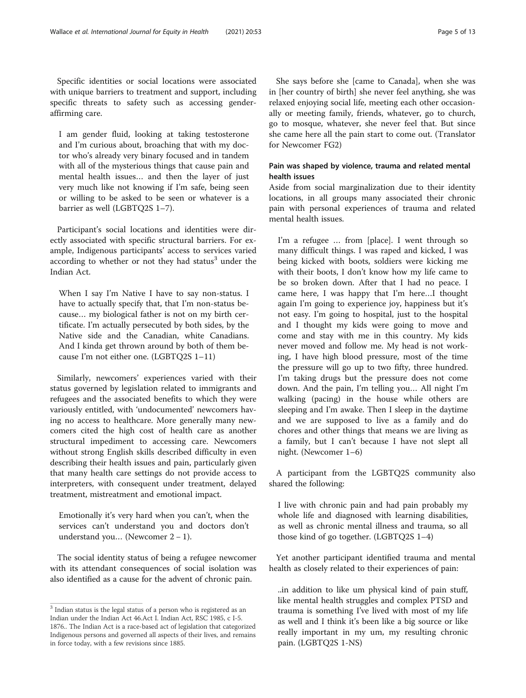Specific identities or social locations were associated with unique barriers to treatment and support, including specific threats to safety such as accessing genderaffirming care.

I am gender fluid, looking at taking testosterone and I'm curious about, broaching that with my doctor who's already very binary focused and in tandem with all of the mysterious things that cause pain and mental health issues… and then the layer of just very much like not knowing if I'm safe, being seen or willing to be asked to be seen or whatever is a barrier as well (LGBTQ2S 1-7).

Participant's social locations and identities were directly associated with specific structural barriers. For example, Indigenous participants' access to services varied according to whether or not they had status $3$  under the Indian Act.

When I say I'm Native I have to say non-status. I have to actually specify that, that I'm non-status because… my biological father is not on my birth certificate. I'm actually persecuted by both sides, by the Native side and the Canadian, white Canadians. And I kinda get thrown around by both of them because I'm not either one. (LGBTQ2S 1–11)

Similarly, newcomers' experiences varied with their status governed by legislation related to immigrants and refugees and the associated benefits to which they were variously entitled, with 'undocumented' newcomers having no access to healthcare. More generally many newcomers cited the high cost of health care as another structural impediment to accessing care. Newcomers without strong English skills described difficulty in even describing their health issues and pain, particularly given that many health care settings do not provide access to interpreters, with consequent under treatment, delayed treatment, mistreatment and emotional impact.

Emotionally it's very hard when you can't, when the services can't understand you and doctors don't understand you… (Newcomer 2 − 1).

The social identity status of being a refugee newcomer with its attendant consequences of social isolation was also identified as a cause for the advent of chronic pain.

She says before she [came to Canada], when she was in [her country of birth] she never feel anything, she was relaxed enjoying social life, meeting each other occasionally or meeting family, friends, whatever, go to church, go to mosque, whatever, she never feel that. But since she came here all the pain start to come out. (Translator for Newcomer FG2)

## Pain was shaped by violence, trauma and related mental health issues

Aside from social marginalization due to their identity locations, in all groups many associated their chronic pain with personal experiences of trauma and related mental health issues.

I'm a refugee … from [place]. I went through so many difficult things. I was raped and kicked, I was being kicked with boots, soldiers were kicking me with their boots, I don't know how my life came to be so broken down. After that I had no peace. I came here, I was happy that I'm here…I thought again I'm going to experience joy, happiness but it's not easy. I'm going to hospital, just to the hospital and I thought my kids were going to move and come and stay with me in this country. My kids never moved and follow me. My head is not working, I have high blood pressure, most of the time the pressure will go up to two fifty, three hundred. I'm taking drugs but the pressure does not come down. And the pain, I'm telling you… All night I'm walking (pacing) in the house while others are sleeping and I'm awake. Then I sleep in the daytime and we are supposed to live as a family and do chores and other things that means we are living as a family, but I can't because I have not slept all night. (Newcomer 1–6)

A participant from the LGBTQ2S community also shared the following:

I live with chronic pain and had pain probably my whole life and diagnosed with learning disabilities, as well as chronic mental illness and trauma, so all those kind of go together. (LGBTQ2S 1–4)

Yet another participant identified trauma and mental health as closely related to their experiences of pain:

..in addition to like um physical kind of pain stuff, like mental health struggles and complex PTSD and trauma is something I've lived with most of my life as well and I think it's been like a big source or like really important in my um, my resulting chronic pain. (LGBTQ2S 1-NS)

 $^{\rm 3}$  Indian status is the legal status of a person who is registered as an Indian under the Indian Act 46.Act I. Indian Act, RSC 1985, c I-5. 1876.. The Indian Act is a race-based act of legislation that categorized Indigenous persons and governed all aspects of their lives, and remains in force today, with a few revisions since 1885.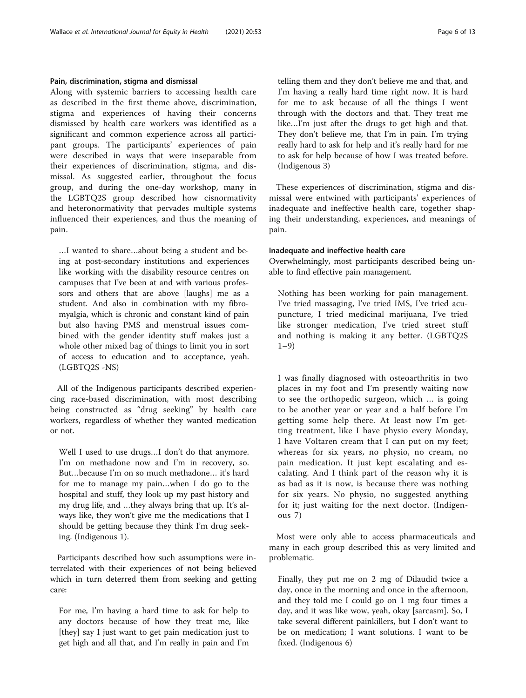## Pain, discrimination, stigma and dismissal

Along with systemic barriers to accessing health care as described in the first theme above, discrimination, stigma and experiences of having their concerns dismissed by health care workers was identified as a significant and common experience across all participant groups. The participants' experiences of pain were described in ways that were inseparable from their experiences of discrimination, stigma, and dismissal. As suggested earlier, throughout the focus group, and during the one-day workshop, many in the LGBTQ2S group described how cisnormativity and heteronormativity that pervades multiple systems influenced their experiences, and thus the meaning of pain.

…I wanted to share…about being a student and being at post-secondary institutions and experiences like working with the disability resource centres on campuses that I've been at and with various professors and others that are above [laughs] me as a student. And also in combination with my fibromyalgia, which is chronic and constant kind of pain but also having PMS and menstrual issues combined with the gender identity stuff makes just a whole other mixed bag of things to limit you in sort of access to education and to acceptance, yeah. (LGBTQ2S -NS)

All of the Indigenous participants described experiencing race-based discrimination, with most describing being constructed as "drug seeking" by health care workers, regardless of whether they wanted medication or not.

Well I used to use drugs…I don't do that anymore. I'm on methadone now and I'm in recovery, so. But…because I'm on so much methadone… it's hard for me to manage my pain…when I do go to the hospital and stuff, they look up my past history and my drug life, and …they always bring that up. It's always like, they won't give me the medications that I should be getting because they think I'm drug seeking. (Indigenous 1).

Participants described how such assumptions were interrelated with their experiences of not being believed which in turn deterred them from seeking and getting care:

For me, I'm having a hard time to ask for help to any doctors because of how they treat me, like [they] say I just want to get pain medication just to get high and all that, and I'm really in pain and I'm

telling them and they don't believe me and that, and I'm having a really hard time right now. It is hard for me to ask because of all the things I went through with the doctors and that. They treat me like…I'm just after the drugs to get high and that. They don't believe me, that I'm in pain. I'm trying really hard to ask for help and it's really hard for me to ask for help because of how I was treated before. (Indigenous 3)

These experiences of discrimination, stigma and dismissal were entwined with participants' experiences of inadequate and ineffective health care, together shaping their understanding, experiences, and meanings of pain.

## Inadequate and ineffective health care

Overwhelmingly, most participants described being unable to find effective pain management.

Nothing has been working for pain management. I've tried massaging, I've tried IMS, I've tried acupuncture, I tried medicinal marijuana, I've tried like stronger medication, I've tried street stuff and nothing is making it any better. (LGBTQ2S  $1 - 9$ )

I was finally diagnosed with osteoarthritis in two places in my foot and I'm presently waiting now to see the orthopedic surgeon, which … is going to be another year or year and a half before I'm getting some help there. At least now I'm getting treatment, like I have physio every Monday, I have Voltaren cream that I can put on my feet; whereas for six years, no physio, no cream, no pain medication. It just kept escalating and escalating. And I think part of the reason why it is as bad as it is now, is because there was nothing for six years. No physio, no suggested anything for it; just waiting for the next doctor. (Indigenous 7)

Most were only able to access pharmaceuticals and many in each group described this as very limited and problematic.

Finally, they put me on 2 mg of Dilaudid twice a day, once in the morning and once in the afternoon, and they told me I could go on 1 mg four times a day, and it was like wow, yeah, okay [sarcasm]. So, I take several different painkillers, but I don't want to be on medication; I want solutions. I want to be fixed. (Indigenous 6)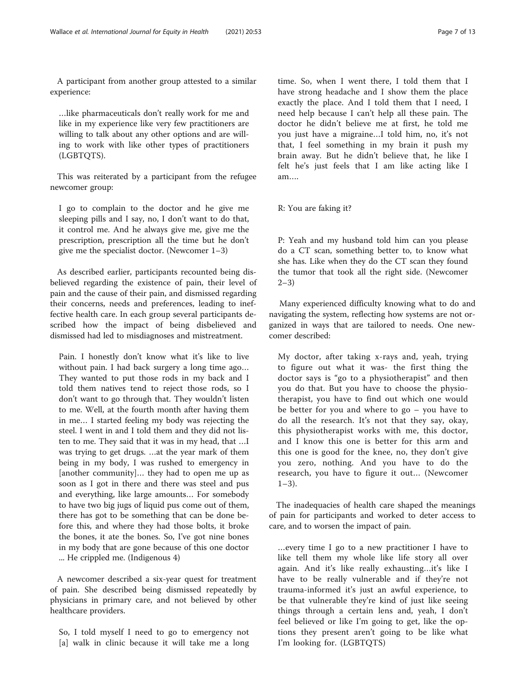A participant from another group attested to a similar experience:

…like pharmaceuticals don't really work for me and like in my experience like very few practitioners are willing to talk about any other options and are willing to work with like other types of practitioners (LGBTQTS).

This was reiterated by a participant from the refugee newcomer group:

I go to complain to the doctor and he give me sleeping pills and I say, no, I don't want to do that, it control me. And he always give me, give me the prescription, prescription all the time but he don't give me the specialist doctor. (Newcomer 1–3)

As described earlier, participants recounted being disbelieved regarding the existence of pain, their level of pain and the cause of their pain, and dismissed regarding their concerns, needs and preferences, leading to ineffective health care. In each group several participants described how the impact of being disbelieved and dismissed had led to misdiagnoses and mistreatment.

Pain. I honestly don't know what it's like to live without pain. I had back surgery a long time ago… They wanted to put those rods in my back and I told them natives tend to reject those rods, so I don't want to go through that. They wouldn't listen to me. Well, at the fourth month after having them in me… I started feeling my body was rejecting the steel. I went in and I told them and they did not listen to me. They said that it was in my head, that …I was trying to get drugs. …at the year mark of them being in my body, I was rushed to emergency in [another community]… they had to open me up as soon as I got in there and there was steel and pus and everything, like large amounts… For somebody to have two big jugs of liquid pus come out of them, there has got to be something that can be done before this, and where they had those bolts, it broke the bones, it ate the bones. So, I've got nine bones in my body that are gone because of this one doctor ... He crippled me. (Indigenous 4)

A newcomer described a six-year quest for treatment of pain. She described being dismissed repeatedly by physicians in primary care, and not believed by other healthcare providers.

So, I told myself I need to go to emergency not [a] walk in clinic because it will take me a long

time. So, when I went there, I told them that I have strong headache and I show them the place exactly the place. And I told them that I need, I need help because I can't help all these pain. The doctor he didn't believe me at first, he told me you just have a migraine…I told him, no, it's not that, I feel something in my brain it push my brain away. But he didn't believe that, he like I felt he's just feels that I am like acting like I am….

R: You are faking it?

P: Yeah and my husband told him can you please do a CT scan, something better to, to know what she has. Like when they do the CT scan they found the tumor that took all the right side. (Newcomer 2–3)

Many experienced difficulty knowing what to do and navigating the system, reflecting how systems are not organized in ways that are tailored to needs. One newcomer described:

My doctor, after taking x-rays and, yeah, trying to figure out what it was- the first thing the doctor says is "go to a physiotherapist" and then you do that. But you have to choose the physiotherapist, you have to find out which one would be better for you and where to go – you have to do all the research. It's not that they say, okay, this physiotherapist works with me, this doctor, and I know this one is better for this arm and this one is good for the knee, no, they don't give you zero, nothing. And you have to do the research, you have to figure it out… (Newcomer  $1-3$ ).

The inadequacies of health care shaped the meanings of pain for participants and worked to deter access to care, and to worsen the impact of pain.

…every time I go to a new practitioner I have to like tell them my whole like life story all over again. And it's like really exhausting…it's like I have to be really vulnerable and if they're not trauma-informed it's just an awful experience, to be that vulnerable they're kind of just like seeing things through a certain lens and, yeah, I don't feel believed or like I'm going to get, like the options they present aren't going to be like what I'm looking for. (LGBTQTS)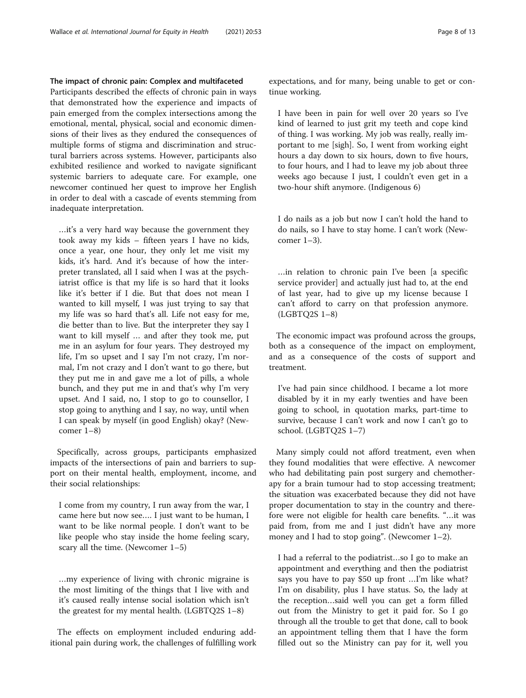## The impact of chronic pain: Complex and multifaceted

Participants described the effects of chronic pain in ways that demonstrated how the experience and impacts of pain emerged from the complex intersections among the emotional, mental, physical, social and economic dimensions of their lives as they endured the consequences of multiple forms of stigma and discrimination and structural barriers across systems. However, participants also exhibited resilience and worked to navigate significant systemic barriers to adequate care. For example, one newcomer continued her quest to improve her English in order to deal with a cascade of events stemming from inadequate interpretation.

…it's a very hard way because the government they took away my kids – fifteen years I have no kids, once a year, one hour, they only let me visit my kids, it's hard. And it's because of how the interpreter translated, all I said when I was at the psychiatrist office is that my life is so hard that it looks like it's better if I die. But that does not mean I wanted to kill myself, I was just trying to say that my life was so hard that's all. Life not easy for me, die better than to live. But the interpreter they say I want to kill myself … and after they took me, put me in an asylum for four years. They destroyed my life, I'm so upset and I say I'm not crazy, I'm normal, I'm not crazy and I don't want to go there, but they put me in and gave me a lot of pills, a whole bunch, and they put me in and that's why I'm very upset. And I said, no, I stop to go to counsellor, I stop going to anything and I say, no way, until when I can speak by myself (in good English) okay? (Newcomer 1–8)

Specifically, across groups, participants emphasized impacts of the intersections of pain and barriers to support on their mental health, employment, income, and their social relationships:

I come from my country, I run away from the war, I came here but now see…. I just want to be human, I want to be like normal people. I don't want to be like people who stay inside the home feeling scary, scary all the time. (Newcomer 1–5)

…my experience of living with chronic migraine is the most limiting of the things that I live with and it's caused really intense social isolation which isn't the greatest for my mental health. (LGBTQ2S 1–8)

The effects on employment included enduring additional pain during work, the challenges of fulfilling work expectations, and for many, being unable to get or continue working.

I have been in pain for well over 20 years so I've kind of learned to just grit my teeth and cope kind of thing. I was working. My job was really, really important to me [sigh]. So, I went from working eight hours a day down to six hours, down to five hours, to four hours, and I had to leave my job about three weeks ago because I just, I couldn't even get in a two-hour shift anymore. (Indigenous 6)

I do nails as a job but now I can't hold the hand to do nails, so I have to stay home. I can't work (Newcomer 1–3).

…in relation to chronic pain I've been [a specific service provider] and actually just had to, at the end of last year, had to give up my license because I can't afford to carry on that profession anymore. (LGBTQ2S 1–8)

The economic impact was profound across the groups, both as a consequence of the impact on employment, and as a consequence of the costs of support and treatment.

I've had pain since childhood. I became a lot more disabled by it in my early twenties and have been going to school, in quotation marks, part-time to survive, because I can't work and now I can't go to school. (LGBTQ2S 1–7)

Many simply could not afford treatment, even when they found modalities that were effective. A newcomer who had debilitating pain post surgery and chemotherapy for a brain tumour had to stop accessing treatment; the situation was exacerbated because they did not have proper documentation to stay in the country and therefore were not eligible for health care benefits. "…it was paid from, from me and I just didn't have any more money and I had to stop going". (Newcomer 1–2).

I had a referral to the podiatrist…so I go to make an appointment and everything and then the podiatrist says you have to pay \$50 up front …I'm like what? I'm on disability, plus I have status. So, the lady at the reception…said well you can get a form filled out from the Ministry to get it paid for. So I go through all the trouble to get that done, call to book an appointment telling them that I have the form filled out so the Ministry can pay for it, well you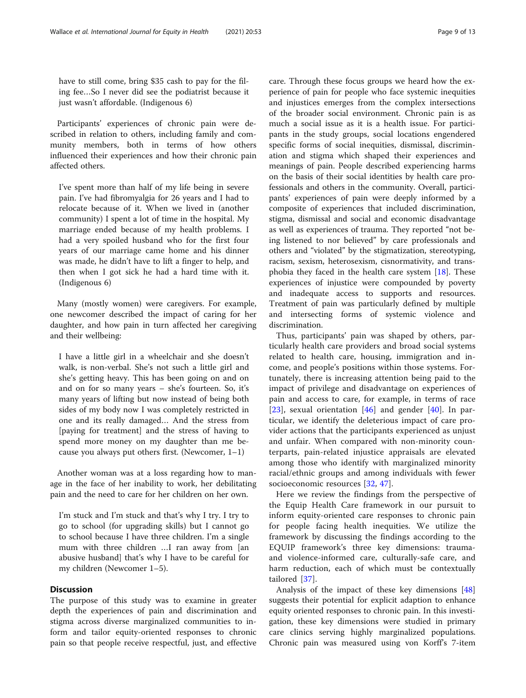have to still come, bring \$35 cash to pay for the filing fee…So I never did see the podiatrist because it just wasn't affordable. (Indigenous 6)

Participants' experiences of chronic pain were described in relation to others, including family and community members, both in terms of how others influenced their experiences and how their chronic pain affected others.

I've spent more than half of my life being in severe pain. I've had fibromyalgia for 26 years and I had to relocate because of it. When we lived in (another community) I spent a lot of time in the hospital. My marriage ended because of my health problems. I had a very spoiled husband who for the first four years of our marriage came home and his dinner was made, he didn't have to lift a finger to help, and then when I got sick he had a hard time with it. (Indigenous 6)

Many (mostly women) were caregivers. For example, one newcomer described the impact of caring for her daughter, and how pain in turn affected her caregiving and their wellbeing:

I have a little girl in a wheelchair and she doesn't walk, is non-verbal. She's not such a little girl and she's getting heavy. This has been going on and on and on for so many years – she's fourteen. So, it's many years of lifting but now instead of being both sides of my body now I was completely restricted in one and its really damaged… And the stress from [paying for treatment] and the stress of having to spend more money on my daughter than me because you always put others first. (Newcomer, 1–1)

Another woman was at a loss regarding how to manage in the face of her inability to work, her debilitating pain and the need to care for her children on her own.

I'm stuck and I'm stuck and that's why I try. I try to go to school (for upgrading skills) but I cannot go to school because I have three children. I'm a single mum with three children …I ran away from [an abusive husband] that's why I have to be careful for my children (Newcomer 1–5).

## **Discussion**

The purpose of this study was to examine in greater depth the experiences of pain and discrimination and stigma across diverse marginalized communities to inform and tailor equity-oriented responses to chronic pain so that people receive respectful, just, and effective care. Through these focus groups we heard how the experience of pain for people who face systemic inequities and injustices emerges from the complex intersections of the broader social environment. Chronic pain is as much a social issue as it is a health issue. For participants in the study groups, social locations engendered specific forms of social inequities, dismissal, discrimination and stigma which shaped their experiences and meanings of pain. People described experiencing harms on the basis of their social identities by health care professionals and others in the community. Overall, participants' experiences of pain were deeply informed by a composite of experiences that included discrimination, stigma, dismissal and social and economic disadvantage as well as experiences of trauma. They reported "not being listened to nor believed" by care professionals and others and "violated" by the stigmatization, stereotyping, racism, sexism, heterosexism, cisnormativity, and transphobia they faced in the health care system  $[18]$  $[18]$ . These experiences of injustice were compounded by poverty and inadequate access to supports and resources. Treatment of pain was particularly defined by multiple and intersecting forms of systemic violence and discrimination.

Thus, participants' pain was shaped by others, particularly health care providers and broad social systems related to health care, housing, immigration and income, and people's positions within those systems. Fortunately, there is increasing attention being paid to the impact of privilege and disadvantage on experiences of pain and access to care, for example, in terms of race [[23\]](#page-11-0), sexual orientation  $[46]$  $[46]$  and gender  $[40]$  $[40]$ . In particular, we identify the deleterious impact of care provider actions that the participants experienced as unjust and unfair. When compared with non-minority counterparts, pain-related injustice appraisals are elevated among those who identify with marginalized minority racial/ethnic groups and among individuals with fewer socioeconomic resources [[32,](#page-11-0) [47](#page-12-0)].

Here we review the findings from the perspective of the Equip Health Care framework in our pursuit to inform equity-oriented care responses to chronic pain for people facing health inequities. We utilize the framework by discussing the findings according to the EQUIP framework's three key dimensions: traumaand violence-informed care, culturally-safe care, and harm reduction, each of which must be contextually tailored [[37\]](#page-11-0).

Analysis of the impact of these key dimensions [[48](#page-12-0)] suggests their potential for explicit adaption to enhance equity oriented responses to chronic pain. In this investigation, these key dimensions were studied in primary care clinics serving highly marginalized populations. Chronic pain was measured using von Korff's 7-item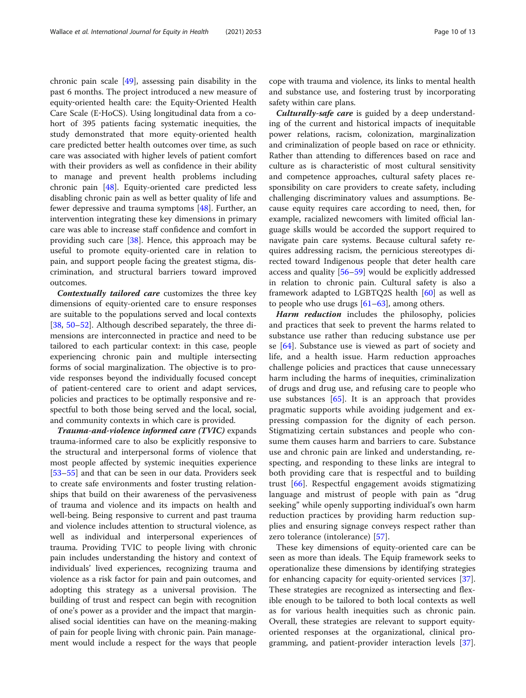chronic pain scale [\[49](#page-12-0)], assessing pain disability in the past 6 months. The project introduced a new measure of equity‐oriented health care: the Equity‐Oriented Health Care Scale (E‐HoCS). Using longitudinal data from a cohort of 395 patients facing systematic inequities, the study demonstrated that more equity-oriented health care predicted better health outcomes over time, as such care was associated with higher levels of patient comfort with their providers as well as confidence in their ability to manage and prevent health problems including chronic pain [[48](#page-12-0)]. Equity-oriented care predicted less disabling chronic pain as well as better quality of life and fewer depressive and trauma symptoms [\[48](#page-12-0)]. Further, an intervention integrating these key dimensions in primary care was able to increase staff confidence and comfort in providing such care [\[38\]](#page-11-0). Hence, this approach may be useful to promote equity-oriented care in relation to pain, and support people facing the greatest stigma, discrimination, and structural barriers toward improved outcomes.

Contextually tailored care customizes the three key dimensions of equity-oriented care to ensure responses are suitable to the populations served and local contexts [[38,](#page-11-0) [50](#page-12-0)–[52\]](#page-12-0). Although described separately, the three dimensions are interconnected in practice and need to be tailored to each particular context: in this case, people experiencing chronic pain and multiple intersecting forms of social marginalization. The objective is to provide responses beyond the individually focused concept of patient-centered care to orient and adapt services, policies and practices to be optimally responsive and respectful to both those being served and the local, social, and community contexts in which care is provided.

Trauma-and-violence informed care (TVIC) expands trauma-informed care to also be explicitly responsive to the structural and interpersonal forms of violence that most people affected by systemic inequities experience [[53](#page-12-0)–[55](#page-12-0)] and that can be seen in our data. Providers seek to create safe environments and foster trusting relationships that build on their awareness of the pervasiveness of trauma and violence and its impacts on health and well-being. Being responsive to current and past trauma and violence includes attention to structural violence, as well as individual and interpersonal experiences of trauma. Providing TVIC to people living with chronic pain includes understanding the history and context of individuals' lived experiences, recognizing trauma and violence as a risk factor for pain and pain outcomes, and adopting this strategy as a universal provision. The building of trust and respect can begin with recognition of one's power as a provider and the impact that marginalised social identities can have on the meaning-making of pain for people living with chronic pain. Pain management would include a respect for the ways that people

cope with trauma and violence, its links to mental health and substance use, and fostering trust by incorporating safety within care plans.

**Culturally-safe care** is guided by a deep understanding of the current and historical impacts of inequitable power relations, racism, colonization, marginalization and criminalization of people based on race or ethnicity. Rather than attending to differences based on race and culture as is characteristic of most cultural sensitivity and competence approaches, cultural safety places responsibility on care providers to create safety, including challenging discriminatory values and assumptions. Because equity requires care according to need, then, for example, racialized newcomers with limited official language skills would be accorded the support required to navigate pain care systems. Because cultural safety requires addressing racism, the pernicious stereotypes directed toward Indigenous people that deter health care access and quality [[56](#page-12-0)–[59](#page-12-0)] would be explicitly addressed in relation to chronic pain. Cultural safety is also a framework adapted to LGBTQ2S health [[60](#page-12-0)] as well as to people who use drugs  $[61-63]$  $[61-63]$  $[61-63]$ , among others.

Harm reduction includes the philosophy, policies and practices that seek to prevent the harms related to substance use rather than reducing substance use per se [\[64](#page-12-0)]. Substance use is viewed as part of society and life, and a health issue. Harm reduction approaches challenge policies and practices that cause unnecessary harm including the harms of inequities, criminalization of drugs and drug use, and refusing care to people who use substances [\[65](#page-12-0)]. It is an approach that provides pragmatic supports while avoiding judgement and expressing compassion for the dignity of each person. Stigmatizing certain substances and people who consume them causes harm and barriers to care. Substance use and chronic pain are linked and understanding, respecting, and responding to these links are integral to both providing care that is respectful and to building trust [[66\]](#page-12-0). Respectful engagement avoids stigmatizing language and mistrust of people with pain as "drug seeking" while openly supporting individual's own harm reduction practices by providing harm reduction supplies and ensuring signage conveys respect rather than zero tolerance (intolerance) [[57](#page-12-0)].

These key dimensions of equity-oriented care can be seen as more than ideals. The Equip framework seeks to operationalize these dimensions by identifying strategies for enhancing capacity for equity-oriented services [\[37](#page-11-0)]. These strategies are recognized as intersecting and flexible enough to be tailored to both local contexts as well as for various health inequities such as chronic pain. Overall, these strategies are relevant to support equityoriented responses at the organizational, clinical programming, and patient-provider interaction levels [\[37](#page-11-0)].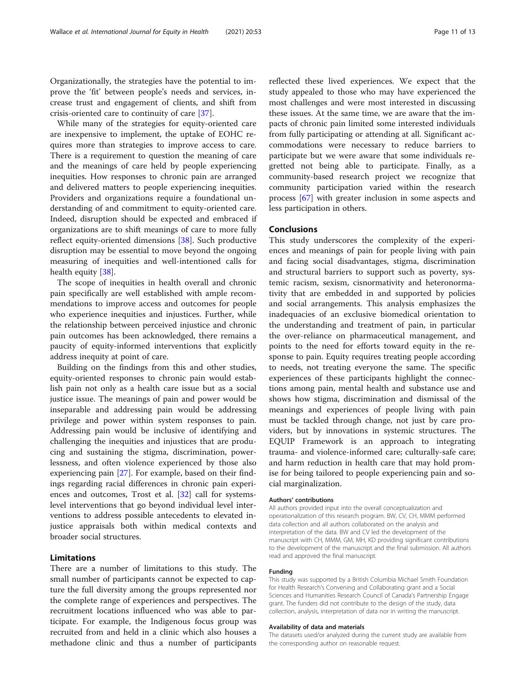Organizationally, the strategies have the potential to improve the 'fit' between people's needs and services, increase trust and engagement of clients, and shift from crisis-oriented care to continuity of care [\[37](#page-11-0)].

While many of the strategies for equity-oriented care are inexpensive to implement, the uptake of EOHC requires more than strategies to improve access to care. There is a requirement to question the meaning of care and the meanings of care held by people experiencing inequities. How responses to chronic pain are arranged and delivered matters to people experiencing inequities. Providers and organizations require a foundational understanding of and commitment to equity-oriented care. Indeed, disruption should be expected and embraced if organizations are to shift meanings of care to more fully reflect equity-oriented dimensions [[38\]](#page-11-0). Such productive disruption may be essential to move beyond the ongoing measuring of inequities and well-intentioned calls for health equity [[38\]](#page-11-0).

The scope of inequities in health overall and chronic pain specifically are well established with ample recommendations to improve access and outcomes for people who experience inequities and injustices. Further, while the relationship between perceived injustice and chronic pain outcomes has been acknowledged, there remains a paucity of equity-informed interventions that explicitly address inequity at point of care.

Building on the findings from this and other studies, equity-oriented responses to chronic pain would establish pain not only as a health care issue but as a social justice issue. The meanings of pain and power would be inseparable and addressing pain would be addressing privilege and power within system responses to pain. Addressing pain would be inclusive of identifying and challenging the inequities and injustices that are producing and sustaining the stigma, discrimination, powerlessness, and often violence experienced by those also experiencing pain [\[27](#page-11-0)]. For example, based on their findings regarding racial differences in chronic pain experiences and outcomes, Trost et al. [[32\]](#page-11-0) call for systemslevel interventions that go beyond individual level interventions to address possible antecedents to elevated injustice appraisals both within medical contexts and broader social structures.

## Limitations

There are a number of limitations to this study. The small number of participants cannot be expected to capture the full diversity among the groups represented nor the complete range of experiences and perspectives. The recruitment locations influenced who was able to participate. For example, the Indigenous focus group was recruited from and held in a clinic which also houses a methadone clinic and thus a number of participants

reflected these lived experiences. We expect that the study appealed to those who may have experienced the most challenges and were most interested in discussing these issues. At the same time, we are aware that the impacts of chronic pain limited some interested individuals from fully participating or attending at all. Significant accommodations were necessary to reduce barriers to participate but we were aware that some individuals regretted not being able to participate. Finally, as a community-based research project we recognize that community participation varied within the research process [\[67\]](#page-12-0) with greater inclusion in some aspects and less participation in others.

## Conclusions

This study underscores the complexity of the experiences and meanings of pain for people living with pain and facing social disadvantages, stigma, discrimination and structural barriers to support such as poverty, systemic racism, sexism, cisnormativity and heteronormativity that are embedded in and supported by policies and social arrangements. This analysis emphasizes the inadequacies of an exclusive biomedical orientation to the understanding and treatment of pain, in particular the over-reliance on pharmaceutical management, and points to the need for efforts toward equity in the response to pain. Equity requires treating people according to needs, not treating everyone the same. The specific experiences of these participants highlight the connections among pain, mental health and substance use and shows how stigma, discrimination and dismissal of the meanings and experiences of people living with pain must be tackled through change, not just by care providers, but by innovations in systemic structures. The EQUIP Framework is an approach to integrating trauma- and violence-informed care; culturally-safe care; and harm reduction in health care that may hold promise for being tailored to people experiencing pain and social marginalization.

### Authors' contributions

All authors provided input into the overall conceptualization and operationalization of this research program. BW, CV, CH, MMM performed data collection and all authors collaborated on the analysis and interpretation of the data. BW and CV led the development of the manuscript with CH, MMM, GM, MH, KD providing significant contributions to the development of the manuscript and the final submission. All authors read and approved the final manuscript.

## Funding

This study was supported by a British Columbia Michael Smith Foundation for Health Research's Convening and Collaborating grant and a Social Sciences and Humanities Research Council of Canada's Partnership Engage grant. The funders did not contribute to the design of the study, data collection, analysis, interpretation of data nor in writing the manuscript.

## Availability of data and materials

The datasets used/or analyzed during the current study are available from the corresponding author on reasonable request.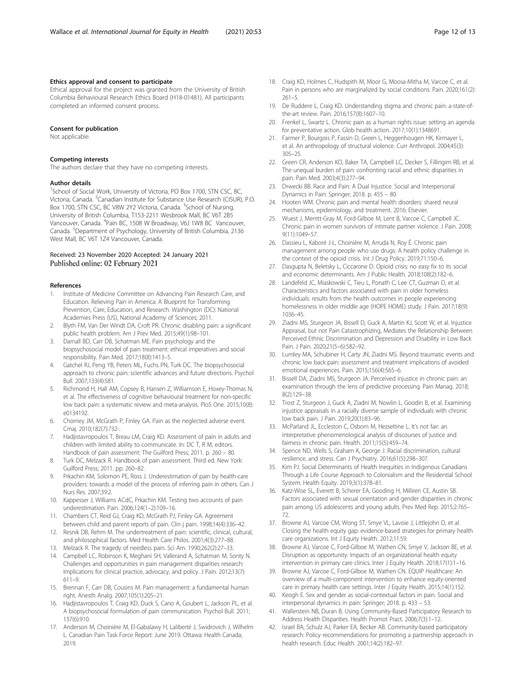## <span id="page-11-0"></span>Ethics approval and consent to participate

Ethical approval for the project was granted from the University of British Columbia Behavioural Research Ethics Board (H18-01481). All participants completed an informed consent process.

## Consent for publication

Not applicable.

## Competing interests

The authors declare that they have no competing interests.

## Author details

<sup>1</sup>School of Social Work, University of Victoria, PO Box 1700, STN CSC, BC, Victoria, Canada. <sup>2</sup>Canadian Institute for Substance Use Research (CISUR), P.O. Box 1700, STN CSC, BC V8W 2Y2 Victoria, Canada. <sup>3</sup>School of Nursing, University of British Columbia, T153-2211 Wesbrook Mall, BC V6T 2B5 Vancouver, Canada. <sup>4</sup>Pain BC, 1508 W Broadway, V6J 1W8 BC Vancouver, Canada. <sup>5</sup>Department of Psychology, University of British Columbia, 2136 West Mall, BC V6T 1Z4 Vancouver, Canada.

# Received: 23 November 2020 Accepted: 24 January 2021

## References

- 1. Institute of Medicine Committee on Advancing Pain Research Care, and Education. Relieving Pain in America: A Blueprint for Transforming Prevention, Care, Education, and Research. Washington (DC): National Academies Press (US), National Academy of Sciences; 2011.
- 2. Blyth FM, Van Der Windt DA, Croft PR. Chronic disabling pain: a significant public health problem. Am J Prev Med. 2015;49(1):98–101.
- 3. Darnall BD, Carr DB, Schatman ME. Pain psychology and the biopsychosocial model of pain treatment: ethical imperatives and social responsibility. Pain Med. 2017;18(8):1413–5.
- 4. Gatchel RJ, Peng YB, Peters ML, Fuchs PN, Turk DC. The biopsychosocial approach to chronic pain: scientific advances and future directions. Psychol Bull. 2007;133(4):581.
- 5. Richmond H, Hall AM, Copsey B, Hansen Z, Williamson E, Hoxey-Thomas N, et al. The effectiveness of cognitive behavioural treatment for non-specific low back pain: a systematic review and meta-analysis. PloS One. 2015;10(8): e0134192.
- 6. Chorney JM, McGrath P, Finley GA. Pain as the neglected adverse event. Cmaj. 2010;182(7):732-.
- 7. Hadjistavropoulos T, Breau LM, Craig KD. Assessment of pain in adults and children with limited ability to communicate. In: DC T, R M, editors. Handbook of pain assessment: The Guilford Press; 2011. p. 260 – 80.
- Turk DC, Melzack R. Handbook of pain assessment. Third ed. New York: Guilford Press; 2011. pp. 260–82.
- 9. Prkachin KM, Solomon PE, Ross J. Underestimation of pain by health-care providers: towards a model of the process of inferring pain in others. Can J Nurs Res. 2007;39:2.
- 10. Kappesser J, Williams ACdC, Prkachin KM. Testing two accounts of pain underestimation. Pain. 2006;124(1–2):109–16.
- 11. Chambers CT, Reid GJ, Craig KD, McGrath PJ, Finley GA. Agreement between child and parent reports of pain. Clin j pain. 1998;14(4):336–42.
- 12. Resnik DB, Rehm M. The undertreatment of pain: scientific, clinical, cultural, and philosophical factors. Med Health Care Philos. 2001;4(3):277–88.
- 13. Melzack R. The tragedy of needless pain. Sci Am. 1990;262(2):27–33. 14. Campbell LC, Robinson K, Meghani SH, Vallerand A, Schatman M, Sonty N.
- Challenges and opportunities in pain management disparities research: Implications for clinical practice, advocacy, and policy. J Pain. 2012;13(7): 611–9.
- 15. Brennan F, Carr DB, Cousins M. Pain management: a fundamental human right. Anesth Analg. 2007;105(1):205–21.
- 16. Hadjistavropoulos T, Craig KD, Duck S, Cano A, Goubert L, Jackson PL, et al. A biopsychosocial formulation of pain communication. Psychol Bull. 2011; 137(6):910.
- 17. Anderson M, Choinière M, El-Gabalawy H, Laliberté J, Swidrovich J, Wilhelm L. Canadian Pain Task Force Report: June 2019. Ottawa: Health Canada; 2019.
- 18. Craig KD, Holmes C, Hudspith M, Moor G, Moosa-Mitha M, Varcoe C, et al. Pain in persons who are marginalized by social conditions. Pain. 2020;161(2): 261–5.
- 19. De Ruddere L, Craig KD. Understanding stigma and chronic pain: a-state-ofthe-art review. Pain. 2016;157(8):1607–10.
- 20. Frenkel L, Swartz L. Chronic pain as a human rights issue: setting an agenda for preventative action. Glob health action. 2017;10(1):1348691.
- 21. Farmer P, Bourgois P, Fassin D, Green L, Heggenhougen HK, Kirmayer L, et al. An anthropology of structural violence. Curr Anthropol. 2004;45(3): 305–25.
- 22. Green CR, Anderson KO, Baker TA, Campbell LC, Decker S, Fillingim RB, et al. The unequal burden of pain: confronting racial and ethnic disparities in pain. Pain Med. 2003;4(3):277–94.
- 23. Drwecki BB. Race and Pain: A Dual Injustice. Social and Interpersonal Dynamics in Pain: Springer; 2018. p. 455 – 80.
- 24. Hooten WM. Chronic pain and mental health disorders: shared neural mechanisms, epidemiology, and treatment. 2016: Elsevier.
- 25. Wuest J, Merritt-Gray M, Ford-Gilboe M, Lent B, Varcoe C, Campbell JC. Chronic pain in women survivors of intimate partner violence. J Pain. 2008; 9(11):1049–57.
- 26. Dassieu L, Kaboré J-L, Choinière M, Arruda N, Roy É. Chronic pain management among people who use drugs: A health policy challenge in the context of the opioid crisis. Int J Drug Policy. 2019;71:150–6.
- 27. Dasgupta N, Beletsky L, Ciccarone D. Opioid crisis: no easy fix to its social and economic determinants. Am J Public Health. 2018;108(2):182–6.
- 28. Landefeld JC, Miaskowski C, Tieu L, Ponath C, Lee CT, Guzman D, et al. Characteristics and factors associated with pain in older homeless individuals: results from the health outcomes in people experiencing homelessness in older middle age (HOPE HOME) study. J Pain. 2017;18(9): 1036–45.
- 29. Ziadni MS, Sturgeon JA, Bissell D, Guck A, Martin KJ, Scott W, et al. Injustice Appraisal, but not Pain Catastrophizing, Mediates the Relationship Between Perceived Ethnic Discrimination and Depression and Disability in Low Back Pain. J Pain. 2020;21(5–6):582–92.
- 30. Lumley MA, Schubiner H, Carty JN, Ziadni MS. Beyond traumatic events and chronic low back pain: assessment and treatment implications of avoided emotional experiences. Pain. 2015;156(4):565–6.
- 31. Bissell DA, Ziadni MS, Sturgeon JA. Perceived injustice in chronic pain: an examination through the lens of predictive processing. Pain Manag. 2018; 8(2):129–38.
- 32. Trost Z, Sturgeon J, Guck A, Ziadni M, Nowlin L, Goodin B, et al. Examining injustice appraisals in a racially diverse sample of individuals with chronic low back pain. J Pain. 2019;20(1):83–96.
- 33. McParland JL, Eccleston C, Osborn M, Hezseltine L. It's not fair: an interpretative phenomenological analysis of discourses of justice and fairness in chronic pain. Health. 2011;15(5):459–74.
- 34. Spence ND, Wells S, Graham K, George J. Racial discrimination, cultural resilience, and stress. Can J Psychiatry. 2016;61(5):298–307.
- 35. Kim PJ. Social Determinants of Health Inequities in Indigenous Canadians Through a Life Course Approach to Colonialism and the Residential School System. Health Equity. 2019;3(1):378–81.
- 36. Katz-Wise SL, Everett B, Scherer EA, Gooding H, Milliren CE, Austin SB. Factors associated with sexual orientation and gender disparities in chronic pain among US adolescents and young adults. Prev Med Rep. 2015;2:765– 72.
- 37. Browne AJ, Varcoe CM, Wong ST, Smye VL, Lavoie J, Littlejohn D, et al. Closing the health equity gap: evidence-based strategies for primary health care organizations. Int J Equity Health. 2012;11:59.
- 38. Browne AJ, Varcoe C, Ford-Gilboe M, Wathen CN, Smye V, Jackson BE, et al. Disruption as opportunity: Impacts of an organizational health equity intervention in primary care clinics. Inter J Equity Health. 2018;17(1):1–16.
- 39. Browne AJ, Varcoe C, Ford-Gilboe M, Wathen CN. EQUIP Healthcare: An overview of a multi-component intervention to enhance equity-oriented care in primary health care settings. Inter J Equity Health. 2015;14(1):152.
- 40. Keogh E. Sex and gender as social-contextual factors in pain. Social and interpersonal dynamics in pain: Springer; 2018. p. 433 – 53.
- 41. Wallerstein NB, Duran B. Using Community-Based Participatory Research to Address Health Disparities. Health Promot Pract. 2006;7(3):1–12.
- 42. Israel BA, Schulz AJ, Parker EA, Becker AB. Community-based participatory research: Policy recommendations for promoting a partnership approach in health research. Educ Health. 2001;14(2):182–97.